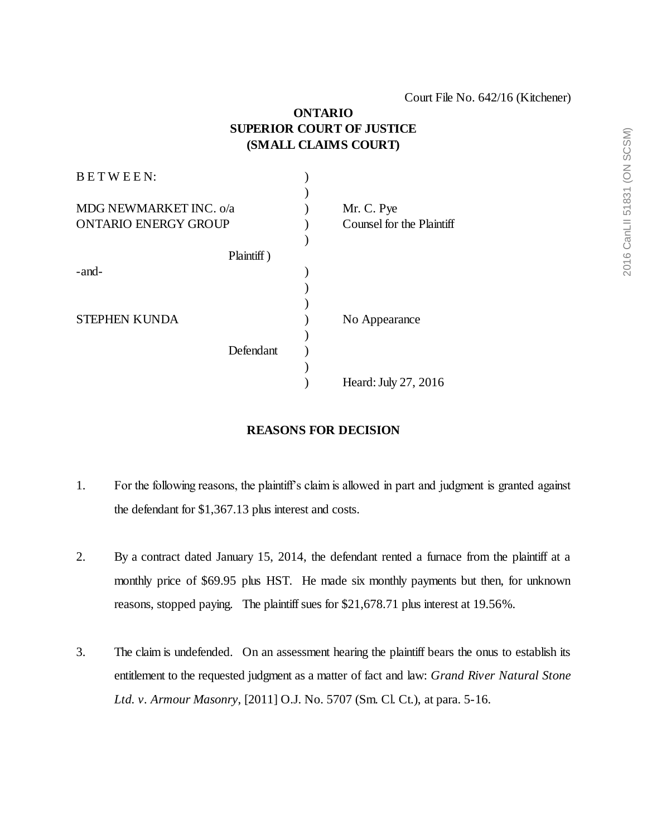## **ONTARIO SUPERIOR COURT OF JUSTICE (SMALL CLAIMS COURT)**

| BETWEEN:                    |            |                           |
|-----------------------------|------------|---------------------------|
|                             |            |                           |
| MDG NEWMARKET INC. o/a      |            | Mr. C. Pye                |
| <b>ONTARIO ENERGY GROUP</b> |            | Counsel for the Plaintiff |
|                             |            |                           |
|                             | Plaintiff) |                           |
| -and-                       |            |                           |
|                             |            |                           |
|                             |            |                           |
| <b>STEPHEN KUNDA</b>        |            | No Appearance             |
|                             |            |                           |
|                             | Defendant  |                           |
|                             |            |                           |
|                             |            | Heard: July 27, 2016      |
|                             |            |                           |

## **REASONS FOR DECISION**

- 1. For the following reasons, the plaintiff's claim is allowed in part and judgment is granted against the defendant for \$1,367.13 plus interest and costs.
- 2. By a contract dated January 15, 2014, the defendant rented a furnace from the plaintiff at a monthly price of \$69.95 plus HST. He made six monthly payments but then, for unknown reasons, stopped paying. The plaintiff sues for \$21,678.71 plus interest at 19.56%.
- 3. The claim is undefended. On an assessment hearing the plaintiff bears the onus to establish its entitlement to the requested judgment as a matter of fact and law: *Grand River Natural Stone Ltd. v. Armour Masonry*, [2011] O.J. No. 5707 (Sm. Cl. Ct.), at para. 5-16.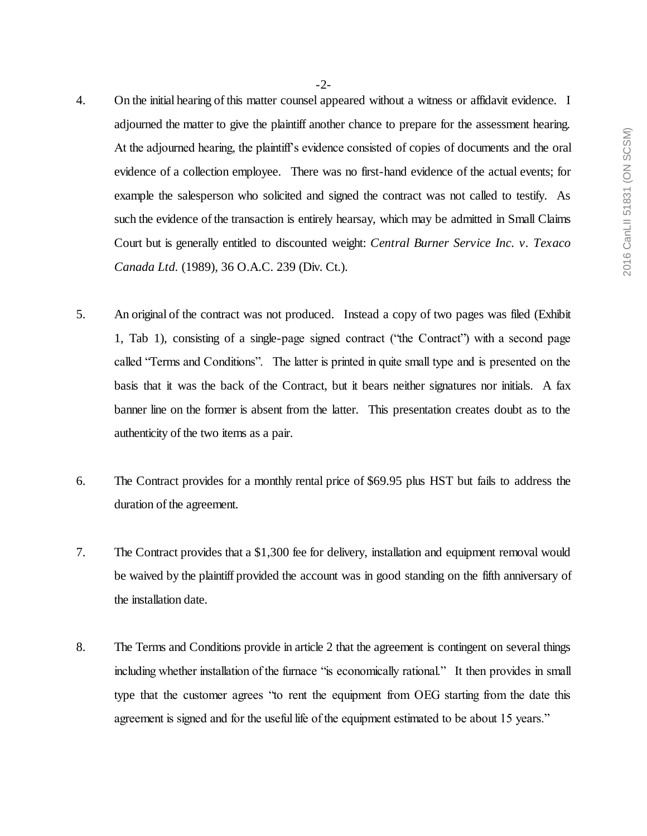- -2-
- 4. On the initial hearing of this matter counsel appeared without a witness or affidavit evidence. I adjourned the matter to give the plaintiff another chance to prepare for the assessment hearing. At the adjourned hearing, the plaintiff's evidence consisted of copies of documents and the oral evidence of a collection employee. There was no first-hand evidence of the actual events; for example the salesperson who solicited and signed the contract was not called to testify. As such the evidence of the transaction is entirely hearsay, which may be admitted in Small Claims Court but is generally entitled to discounted weight: *Central Burner Service Inc. v. Texaco Canada Ltd.* (1989), 36 O.A.C. 239 (Div. Ct.).
- 5. An original of the contract was not produced. Instead a copy of two pages was filed (Exhibit 1, Tab 1), consisting of a single-page signed contract ("the Contract") with a second page called "Terms and Conditions". The latter is printed in quite small type and is presented on the basis that it was the back of the Contract, but it bears neither signatures nor initials. A fax banner line on the former is absent from the latter. This presentation creates doubt as to the authenticity of the two items as a pair.
- 6. The Contract provides for a monthly rental price of \$69.95 plus HST but fails to address the duration of the agreement.
- 7. The Contract provides that a \$1,300 fee for delivery, installation and equipment removal would be waived by the plaintiff provided the account was in good standing on the fifth anniversary of the installation date.
- 8. The Terms and Conditions provide in article 2 that the agreement is contingent on several things including whether installation of the furnace "is economically rational." It then provides in small type that the customer agrees "to rent the equipment from OEG starting from the date this agreement is signed and for the useful life of the equipment estimated to be about 15 years."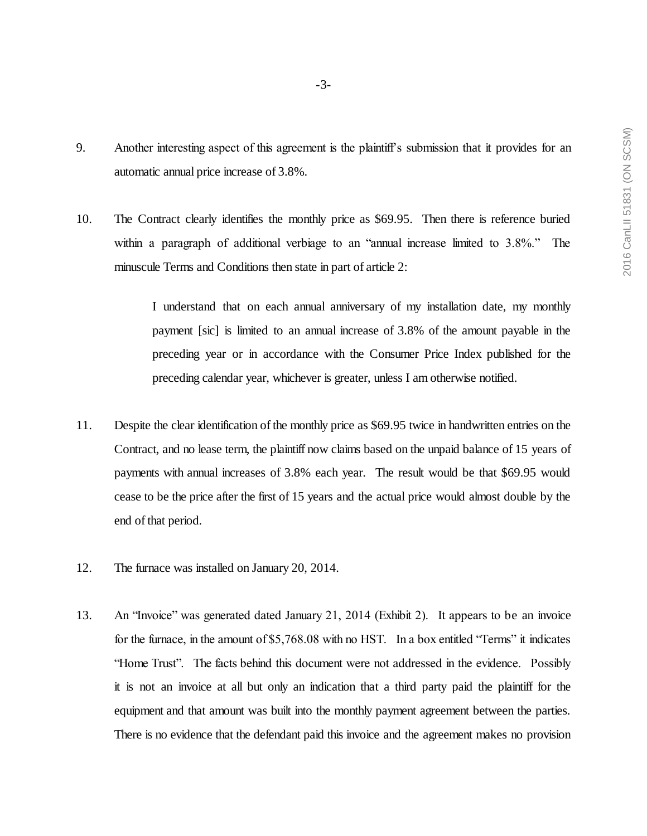- -3-
- 9. Another interesting aspect of this agreement is the plaintiff's submission that it provides for an automatic annual price increase of 3.8%.
- 10. The Contract clearly identifies the monthly price as \$69.95. Then there is reference buried within a paragraph of additional verbiage to an "annual increase limited to 3.8%." The minuscule Terms and Conditions then state in part of article 2:

I understand that on each annual anniversary of my installation date, my monthly payment [sic] is limited to an annual increase of 3.8% of the amount payable in the preceding year or in accordance with the Consumer Price Index published for the preceding calendar year, whichever is greater, unless I am otherwise notified.

- 11. Despite the clear identification of the monthly price as \$69.95 twice in handwritten entries on the Contract, and no lease term, the plaintiff now claims based on the unpaid balance of 15 years of payments with annual increases of 3.8% each year. The result would be that \$69.95 would cease to be the price after the first of 15 years and the actual price would almost double by the end of that period.
- 12. The furnace was installed on January 20, 2014.
- 13. An "Invoice" was generated dated January 21, 2014 (Exhibit 2). It appears to be an invoice for the furnace, in the amount of \$5,768.08 with no HST. In a box entitled "Terms" it indicates "Home Trust". The facts behind this document were not addressed in the evidence. Possibly it is not an invoice at all but only an indication that a third party paid the plaintiff for the equipment and that amount was built into the monthly payment agreement between the parties. There is no evidence that the defendant paid this invoice and the agreement makes no provision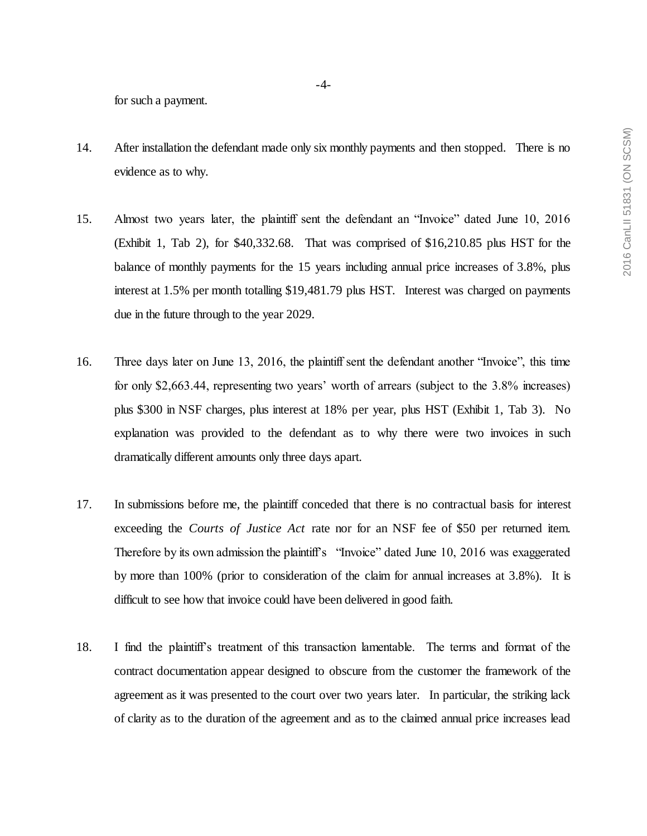for such a payment.

- 14. After installation the defendant made only six monthly payments and then stopped. There is no evidence as to why.
- 15. Almost two years later, the plaintiff sent the defendant an "Invoice" dated June 10, 2016 (Exhibit 1, Tab 2), for \$40,332.68. That was comprised of \$16,210.85 plus HST for the balance of monthly payments for the 15 years including annual price increases of 3.8%, plus interest at 1.5% per month totalling \$19,481.79 plus HST. Interest was charged on payments due in the future through to the year 2029.
- 16. Three days later on June 13, 2016, the plaintiff sent the defendant another "Invoice", this time for only \$2,663.44, representing two years' worth of arrears (subject to the 3.8% increases) plus \$300 in NSF charges, plus interest at 18% per year, plus HST (Exhibit 1, Tab 3). No explanation was provided to the defendant as to why there were two invoices in such dramatically different amounts only three days apart.
- 17. In submissions before me, the plaintiff conceded that there is no contractual basis for interest exceeding the *Courts of Justice Act* rate nor for an NSF fee of \$50 per returned item. Therefore by its own admission the plaintiff's "Invoice" dated June 10, 2016 was exaggerated by more than 100% (prior to consideration of the claim for annual increases at 3.8%). It is difficult to see how that invoice could have been delivered in good faith.
- 18. I find the plaintiff's treatment of this transaction lamentable. The terms and format of the contract documentation appear designed to obscure from the customer the framework of the agreement as it was presented to the court over two years later. In particular, the striking lack of clarity as to the duration of the agreement and as to the claimed annual price increases lead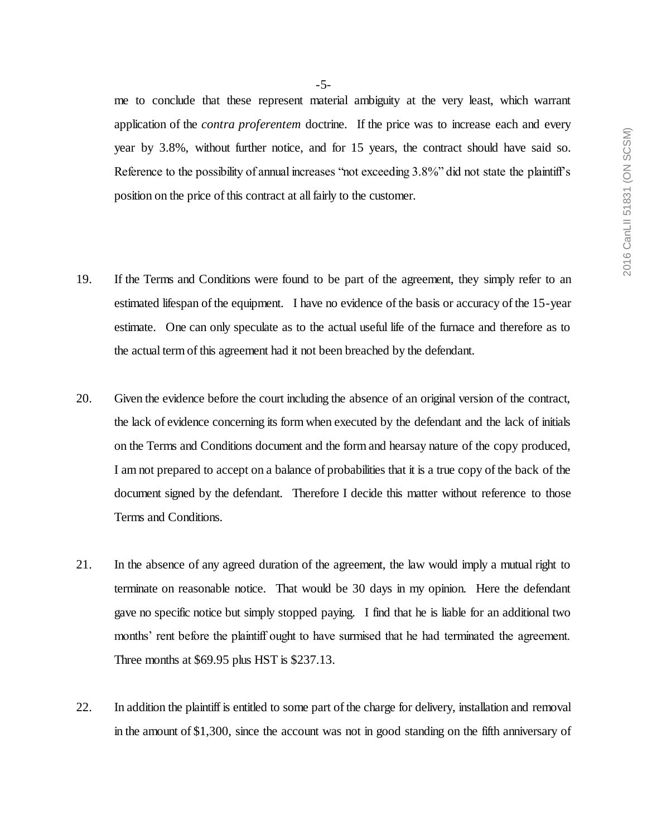me to conclude that these represent material ambiguity at the very least, which warrant application of the *contra proferentem* doctrine. If the price was to increase each and every year by 3.8%, without further notice, and for 15 years, the contract should have said so. Reference to the possibility of annual increases "not exceeding 3.8%" did not state the plaintiff's position on the price of this contract at all fairly to the customer.

- 19. If the Terms and Conditions were found to be part of the agreement, they simply refer to an estimated lifespan of the equipment. I have no evidence of the basis or accuracy of the 15-year estimate. One can only speculate as to the actual useful life of the furnace and therefore as to the actual term of this agreement had it not been breached by the defendant.
- 20. Given the evidence before the court including the absence of an original version of the contract, the lack of evidence concerning its form when executed by the defendant and the lack of initials on the Terms and Conditions document and the form and hearsay nature of the copy produced, I am not prepared to accept on a balance of probabilities that it is a true copy of the back of the document signed by the defendant. Therefore I decide this matter without reference to those Terms and Conditions.
- 21. In the absence of any agreed duration of the agreement, the law would imply a mutual right to terminate on reasonable notice. That would be 30 days in my opinion. Here the defendant gave no specific notice but simply stopped paying. I find that he is liable for an additional two months' rent before the plaintiff ought to have surmised that he had terminated the agreement. Three months at \$69.95 plus HST is \$237.13.
- 22. In addition the plaintiff is entitled to some part of the charge for delivery, installation and removal in the amount of \$1,300, since the account was not in good standing on the fifth anniversary of